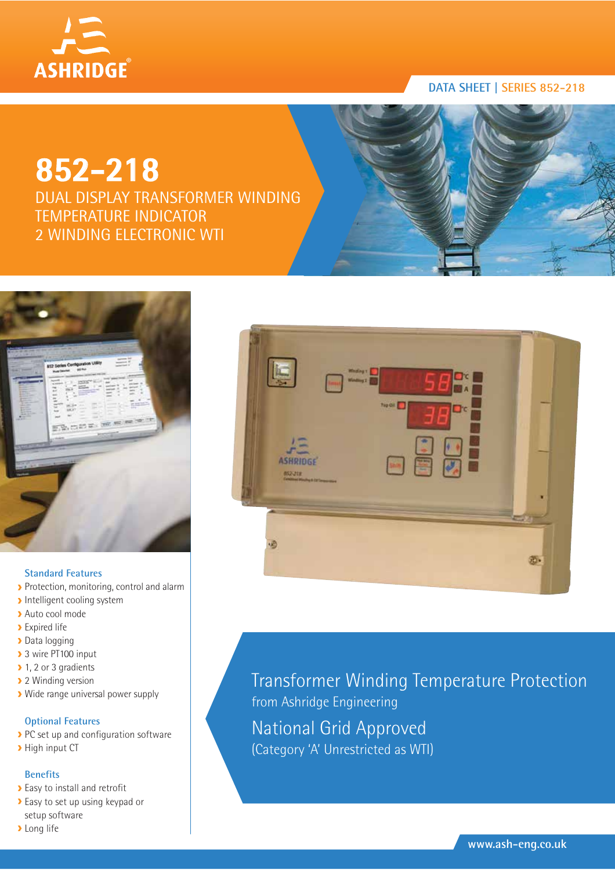

# **DATA SHEET | SERIES 852-218**

# **852-218**

DUAL DISPLAY TRANSFORMER WINDING TEMPERATURE INDICATOR 2 WINDING ELECTRONIC WTI



#### **Standard Features**

- Protection, monitoring, control and alarm
- **Intelligent cooling system**
- Auto cool mode
- **Expired life**
- > Data logging
- > 3 wire PT100 input
- ▶ 1, 2 or 3 gradients
- **2** Winding version
- Wide range universal power supply

### **Optional Features**

- PC set up and configuration software
- > High input CT

#### **Benefits**

- Easy to install and retrofit
- Easy to set up using keypad or setup software
- **>** Long life



Transformer Winding Temperature Protection from Ashridge Engineering National Grid Approved (Category 'A' Unrestricted as WTI)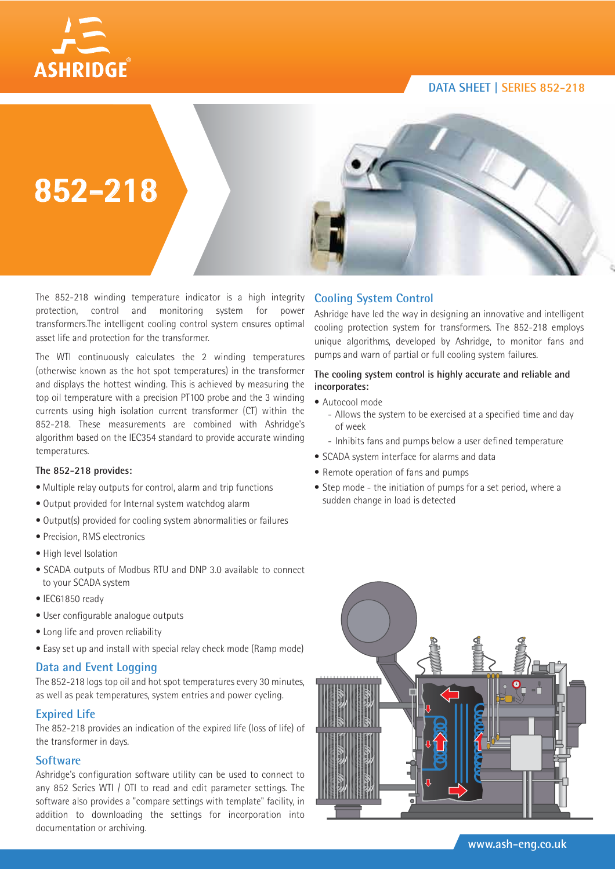### **DATA SHEET | SERIES 852-218**





**852-218**

The 852-218 winding temperature indicator is a high integrity protection, control and monitoring system for power transformers.The intelligent cooling control system ensures optimal asset life and protection for the transformer.

The WTI continuously calculates the 2 winding temperatures (otherwise known as the hot spot temperatures) in the transformer and displays the hottest winding. This is achieved by measuring the top oil temperature with a precision PT100 probe and the 3 winding currents using high isolation current transformer (CT) within the 852-218. These measurements are combined with Ashridge's algorithm based on the IEC354 standard to provide accurate winding temperatures.

#### **The 852-218 provides:**

- Multiple relay outputs for control, alarm and trip functions
- Output provided for Internal system watchdog alarm
- Output(s) provided for cooling system abnormalities or failures
- Precision, RMS electronics
- High level Isolation
- SCADA outputs of Modbus RTU and DNP 3.0 available to connect to your SCADA system
- IEC61850 ready
- User configurable analogue outputs
- Long life and proven reliability
- Easy set up and install with special relay check mode (Ramp mode)

#### **Data and Event Logging**

The 852-218 logs top oil and hot spot temperatures every 30 minutes, as well as peak temperatures, system entries and power cycling.

#### **Expired Life**

The 852-218 provides an indication of the expired life (loss of life) of the transformer in days.

#### **Software**

Ashridge's configuration software utility can be used to connect to any 852 Series WTI / OTI to read and edit parameter settings. The software also provides a "compare settings with template" facility, in addition to downloading the settings for incorporation into documentation or archiving.

# **Cooling System Control**

Ashridge have led the way in designing an innovative and intelligent cooling protection system for transformers. The 852-218 employs unique algorithms, developed by Ashridge, to monitor fans and pumps and warn of partial or full cooling system failures.

#### **The cooling system control is highly accurate and reliable and incorporates:**

- Autocool mode
	- Allows the system to be exercised at a specified time and day of week
	- Inhibits fans and pumps below a user defined temperature
- SCADA system interface for alarms and data
- Remote operation of fans and pumps
- Step mode the initiation of pumps for a set period, where a sudden change in load is detected

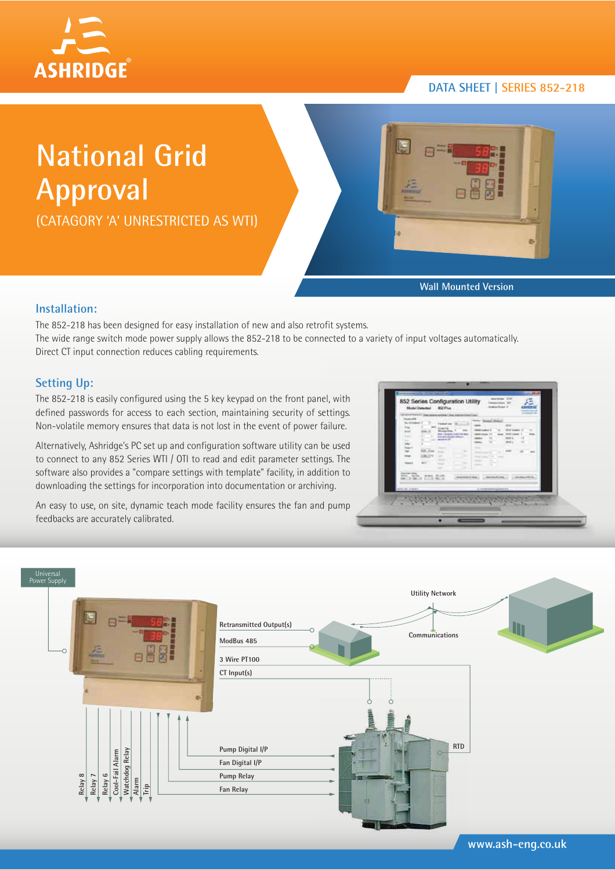

# **DATA SHEET | SERIES 852-218**

# **National Grid Approval**

(CATAGORY 'A' UNRESTRICTED AS WTI)



**Wall Mounted Version**

#### **Installation:**

The 852-218 has been designed for easy installation of new and also retrofit systems. The wide range switch mode power supply allows the 852-218 to be connected to a variety of input voltages automatically. Direct CT input connection reduces cabling requirements.

# **Setting Up:**

The 852-218 is easily configured using the 5 key keypad on the front panel, with defined passwords for access to each section, maintaining security of settings. Non-volatile memory ensures that data is not lost in the event of power failure.

Alternatively, Ashridge's PC set up and configuration software utility can be used to connect to any 852 Series WTI / OTI to read and edit parameter settings. The software also provides a "compare settings with template" facility, in addition to downloading the settings for incorporation into documentation or archiving.

An easy to use, on site, dynamic teach mode facility ensures the fan and pump feedbacks are accurately calibrated.

| <b><i><u>International</u></i></b><br>les of the<br><b>Fascing Clubs</b><br>b.<br><b>Come Pay</b><br><b>Wie Foresta livier for any</b><br>1011<br><b><i>SEASTERED MALE</i></b><br><b>Moderate Str.</b><br><b>HELLMAN</b><br>1.44<br>- 1<br>$\overline{\phantom{a}}$<br><b>Hard</b><br>$-10.4$<br>œ<br>$-1$<br><b><i><u>SECRET SERIES</u></i></b> | <b>Trend Chemical Mexical</b><br><b>UNIT</b><br>With lighted in<br>$-$<br><b>DEAT LAW</b><br>GENETA<br><br>www.<br><b>DISCUSSION</b><br><b>CONTRACTOR</b><br>.,<br>×<br><b>STATISTICS</b> |
|--------------------------------------------------------------------------------------------------------------------------------------------------------------------------------------------------------------------------------------------------------------------------------------------------------------------------------------------------|-------------------------------------------------------------------------------------------------------------------------------------------------------------------------------------------|
| <b>WORKS AND AIR</b><br>almost kinesi<br><b>Contract of the Second Seconds</b>                                                                                                                                                                                                                                                                   | <b>County Ford Art And Inc.</b><br>TOR - IP NUMBER OF STATE<br>backed that Section line Section little<br>A record bally replaced in a<br><b>Agent</b>                                    |



**www.ash-eng.co.uk**